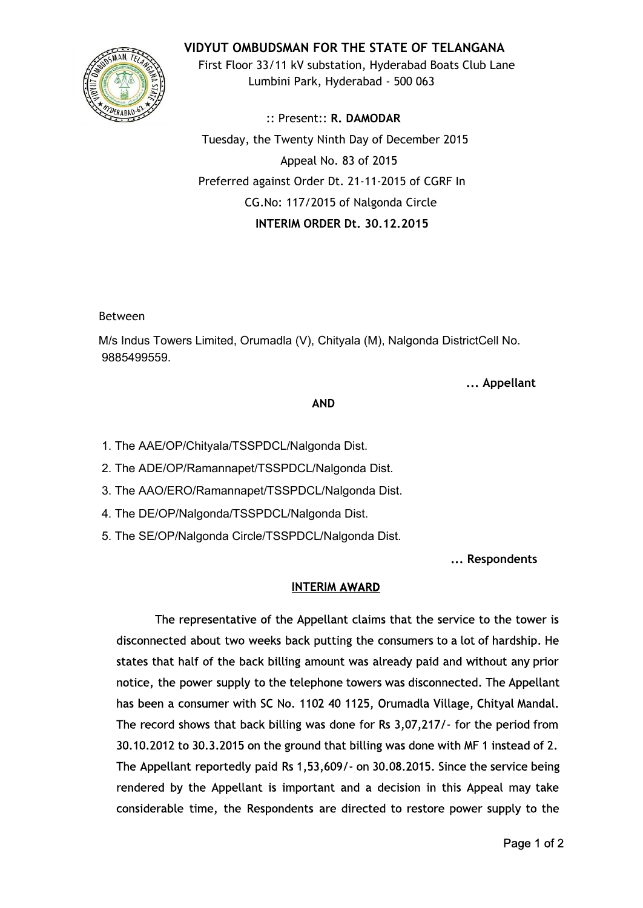

**VIDYUT OMBUDSMAN FOR THE STATE OF TELANGANA** First Floor 33/11 kV substation, Hyderabad Boats Club Lane Lumbini Park, Hyderabad - 500 063

:: Present:: **R. DAMODAR** Tuesday, the Twenty Ninth Day of December 2015 Appeal No. 83 of 2015 Preferred against Order Dt. 21-11-2015 of CGRF In CG.No: 117/2015 of Nalgonda Circle **INTERIM ORDER Dt. 30.12.2015**

Between

M/s Indus Towers Limited, Orumadla (V), Chityala (M), Nalgonda DistrictCell No. 9885499559.

**... Appellant**

### **AND**

- 1. The AAE/OP/Chityala/TSSPDCL/Nalgonda Dist.
- 2. The ADE/OP/Ramannapet/TSSPDCL/Nalgonda Dist.
- 3. The AAO/ERO/Ramannapet/TSSPDCL/Nalgonda Dist.
- 4. The DE/OP/Nalgonda/TSSPDCL/Nalgonda Dist.
- 5. The SE/OP/Nalgonda Circle/TSSPDCL/Nalgonda Dist.

**... Respondents**

## **INTERIMAWARD**

The representative of the Appellant claims that the service to the tower is disconnected about two weeks back putting the consumers to a lot of hardship. He states that half of the back billing amount was already paid and without any prior notice, the power supply to the telephone towers was disconnected. The Appellant has been a consumer with SC No. 1102 40 1125, Orumadla Village, Chityal Mandal. The record shows that back billing was done for Rs 3,07,217/- for the period from 30.10.2012 to 30.3.2015 on the ground that billing was done with MF 1 instead of 2. The Appellant reportedly paid Rs 1,53,609/- on 30.08.2015. Since the service being rendered by the Appellant is important and a decision in this Appeal may take considerable time, the Respondents are directed to restore power supply to the